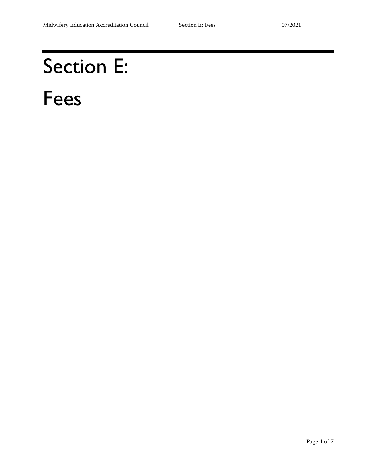# Section E: Fees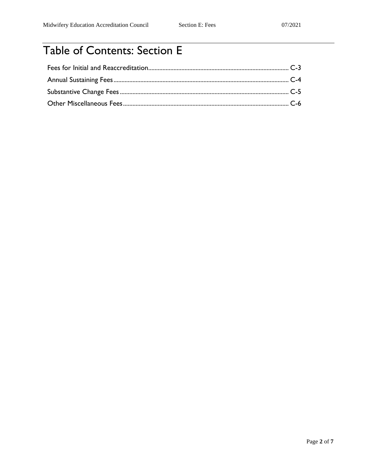## Table of Contents: Section E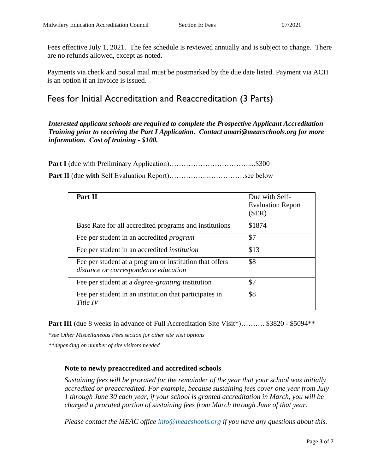Fees effective July 1, 2021. The fee schedule is reviewed annually and is subject to change. There are no refunds allowed, except as noted.

Payments via check and postal mail must be postmarked by the due date listed. Payment via ACH is an option if an invoice is issued.

Fees for Initial Accreditation and Reaccreditation (3 Parts)

*Interested applicant schools are required to complete the Prospective Applicant Accreditation Training prior to receiving the Part I Application. Contact amari@meacschools.org for more information. Cost of training - \$100.* 

| Part II                                                                                         | Due with Self-<br><b>Evaluation Report</b><br>(SER) |
|-------------------------------------------------------------------------------------------------|-----------------------------------------------------|
| Base Rate for all accredited programs and institutions                                          | \$1874                                              |
| Fee per student in an accredited <i>program</i>                                                 | \$7                                                 |
| Fee per student in an accredited <i>institution</i>                                             | \$13                                                |
| Fee per student at a program or institution that offers<br>distance or correspondence education | \$8                                                 |
| Fee per student at a <i>degree-granting</i> institution                                         | \$7                                                 |
| Fee per student in an institution that participates in<br>Title IV                              | \$8                                                 |

**Part III** (due 8 weeks in advance of Full Accreditation Site Visit\*)………. \$3820 - \$5094\*\*

*\*see Other Miscellaneous Fees section for other site visit options*

*\*\*depending on number of site visitors needed*

#### **Note to newly preaccredited and accredited schools**

*Sustaining fees will be prorated for the remainder of the year that your school was initially accredited or preaccredited. For example, because sustaining fees cover one year from July 1 through June 30 each year, if your school is granted accreditation in March, you will be charged a prorated portion of sustaining fees from March through June of that year.*

*Please contact the MEAC office [info@meacshools.org](mailto:info@meacshools.org) if you have any questions about this.*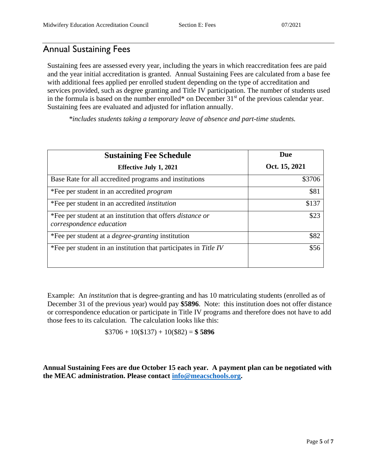### Annual Sustaining Fees

Sustaining fees are assessed every year, including the years in which reaccreditation fees are paid and the year initial accreditation is granted. Annual Sustaining Fees are calculated from a base fee with additional fees applied per enrolled student depending on the type of accreditation and services provided, such as degree granting and Title IV participation. The number of students used in the formula is based on the number enrolled\* on December  $31<sup>st</sup>$  of the previous calendar year. Sustaining fees are evaluated and adjusted for inflation annually.

*\*includes students taking a temporary leave of absence and part-time students.*

| <b>Sustaining Fee Schedule</b>                                                                | Due           |
|-----------------------------------------------------------------------------------------------|---------------|
| <b>Effective July 1, 2021</b>                                                                 | Oct. 15, 2021 |
| Base Rate for all accredited programs and institutions                                        | \$3706        |
| *Fee per student in an accredited <i>program</i>                                              | \$81          |
| *Fee per student in an accredited <i>institution</i>                                          | \$137         |
| *Fee per student at an institution that offers <i>distance or</i><br>correspondence education | \$23          |
| *Fee per student at a <i>degree-granting</i> institution                                      | \$82          |
| *Fee per student in an institution that participates in Title IV                              | \$56          |

Example: An *institution* that is degree-granting and has 10 matriculating students (enrolled as of December 31 of the previous year) would pay **\$5896**. Note: this institution does not offer distance or correspondence education or participate in Title IV programs and therefore does not have to add those fees to its calculation. The calculation looks like this:

 $$3706 + 10 ($137) + 10 ($82) = $5896$ 

**Annual Sustaining Fees are due October 15 each year. A payment plan can be negotiated with the MEAC administration. Please contact [info@meacschools.org.](mailto:info@meacschools.org)**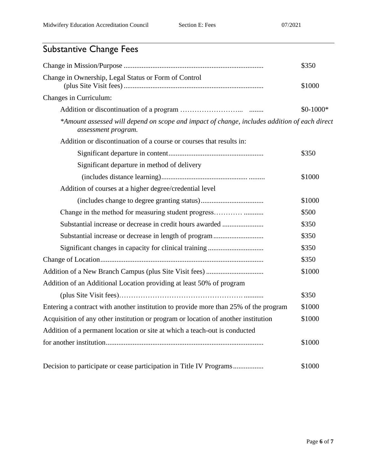## Substantive Change Fees

|                                                                                                                     | \$350      |
|---------------------------------------------------------------------------------------------------------------------|------------|
| Change in Ownership, Legal Status or Form of Control                                                                | \$1000     |
| Changes in Curriculum:                                                                                              |            |
|                                                                                                                     | $$0-1000*$ |
| *Amount assessed will depend on scope and impact of change, includes addition of each direct<br>assessment program. |            |
| Addition or discontinuation of a course or courses that results in:                                                 |            |
|                                                                                                                     | \$350      |
| Significant departure in method of delivery                                                                         |            |
|                                                                                                                     | \$1000     |
| Addition of courses at a higher degree/credential level                                                             |            |
|                                                                                                                     | \$1000     |
|                                                                                                                     | \$500      |
| Substantial increase or decrease in credit hours awarded                                                            | \$350      |
| Substantial increase or decrease in length of program                                                               | \$350      |
|                                                                                                                     | \$350      |
|                                                                                                                     | \$350      |
|                                                                                                                     | \$1000     |
| Addition of an Additional Location providing at least 50% of program                                                |            |
|                                                                                                                     | \$350      |
| Entering a contract with another institution to provide more than 25% of the program                                | \$1000     |
| Acquisition of any other institution or program or location of another institution                                  | \$1000     |
| Addition of a permanent location or site at which a teach-out is conducted                                          |            |
|                                                                                                                     | \$1000     |
| Decision to participate or cease participation in Title IV Programs                                                 | \$1000     |